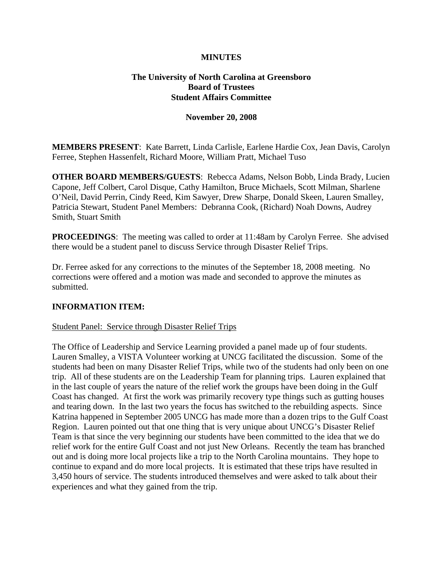### **MINUTES**

## **The University of North Carolina at Greensboro Board of Trustees Student Affairs Committee**

#### **November 20, 2008**

**MEMBERS PRESENT**: Kate Barrett, Linda Carlisle, Earlene Hardie Cox, Jean Davis, Carolyn Ferree, Stephen Hassenfelt, Richard Moore, William Pratt, Michael Tuso

**OTHER BOARD MEMBERS/GUESTS**: Rebecca Adams, Nelson Bobb, Linda Brady, Lucien Capone, Jeff Colbert, Carol Disque, Cathy Hamilton, Bruce Michaels, Scott Milman, Sharlene O'Neil, David Perrin, Cindy Reed, Kim Sawyer, Drew Sharpe, Donald Skeen, Lauren Smalley, Patricia Stewart, Student Panel Members: Debranna Cook, (Richard) Noah Downs, Audrey Smith, Stuart Smith

**PROCEEDINGS**: The meeting was called to order at 11:48am by Carolyn Ferree. She advised there would be a student panel to discuss Service through Disaster Relief Trips.

Dr. Ferree asked for any corrections to the minutes of the September 18, 2008 meeting. No corrections were offered and a motion was made and seconded to approve the minutes as submitted.

#### **INFORMATION ITEM:**

#### Student Panel: Service through Disaster Relief Trips

The Office of Leadership and Service Learning provided a panel made up of four students. Lauren Smalley, a VISTA Volunteer working at UNCG facilitated the discussion. Some of the students had been on many Disaster Relief Trips, while two of the students had only been on one trip. All of these students are on the Leadership Team for planning trips. Lauren explained that in the last couple of years the nature of the relief work the groups have been doing in the Gulf Coast has changed. At first the work was primarily recovery type things such as gutting houses and tearing down. In the last two years the focus has switched to the rebuilding aspects. Since Katrina happened in September 2005 UNCG has made more than a dozen trips to the Gulf Coast Region. Lauren pointed out that one thing that is very unique about UNCG's Disaster Relief Team is that since the very beginning our students have been committed to the idea that we do relief work for the entire Gulf Coast and not just New Orleans. Recently the team has branched out and is doing more local projects like a trip to the North Carolina mountains. They hope to continue to expand and do more local projects. It is estimated that these trips have resulted in 3,450 hours of service. The students introduced themselves and were asked to talk about their experiences and what they gained from the trip.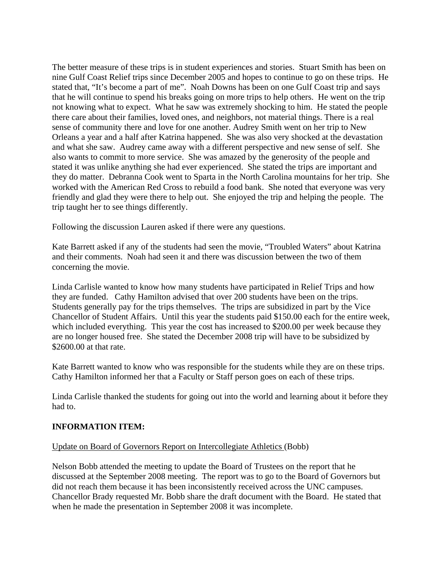The better measure of these trips is in student experiences and stories. Stuart Smith has been on nine Gulf Coast Relief trips since December 2005 and hopes to continue to go on these trips. He stated that, "It's become a part of me". Noah Downs has been on one Gulf Coast trip and says that he will continue to spend his breaks going on more trips to help others. He went on the trip not knowing what to expect. What he saw was extremely shocking to him. He stated the people there care about their families, loved ones, and neighbors, not material things. There is a real sense of community there and love for one another. Audrey Smith went on her trip to New Orleans a year and a half after Katrina happened. She was also very shocked at the devastation and what she saw. Audrey came away with a different perspective and new sense of self. She also wants to commit to more service. She was amazed by the generosity of the people and stated it was unlike anything she had ever experienced. She stated the trips are important and they do matter. Debranna Cook went to Sparta in the North Carolina mountains for her trip. She worked with the American Red Cross to rebuild a food bank. She noted that everyone was very friendly and glad they were there to help out. She enjoyed the trip and helping the people. The trip taught her to see things differently.

Following the discussion Lauren asked if there were any questions.

Kate Barrett asked if any of the students had seen the movie, "Troubled Waters" about Katrina and their comments. Noah had seen it and there was discussion between the two of them concerning the movie.

Linda Carlisle wanted to know how many students have participated in Relief Trips and how they are funded. Cathy Hamilton advised that over 200 students have been on the trips. Students generally pay for the trips themselves. The trips are subsidized in part by the Vice Chancellor of Student Affairs. Until this year the students paid \$150.00 each for the entire week, which included everything. This year the cost has increased to \$200.00 per week because they are no longer housed free. She stated the December 2008 trip will have to be subsidized by \$2600.00 at that rate.

Kate Barrett wanted to know who was responsible for the students while they are on these trips. Cathy Hamilton informed her that a Faculty or Staff person goes on each of these trips.

Linda Carlisle thanked the students for going out into the world and learning about it before they had to.

# **INFORMATION ITEM:**

#### Update on Board of Governors Report on Intercollegiate Athletics (Bobb)

Nelson Bobb attended the meeting to update the Board of Trustees on the report that he discussed at the September 2008 meeting. The report was to go to the Board of Governors but did not reach them because it has been inconsistently received across the UNC campuses. Chancellor Brady requested Mr. Bobb share the draft document with the Board. He stated that when he made the presentation in September 2008 it was incomplete.